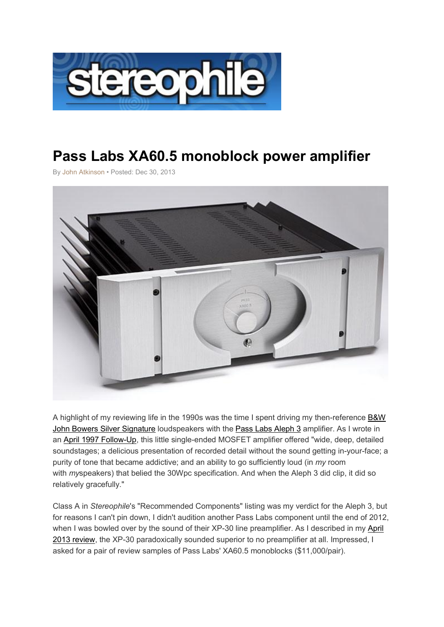

# Pass Labs XA60.5 monoblock power amplifier

By John Atkinson • Posted: Dec 30, 2013



A highlight of my reviewing life in the 1990s was the time I spent driving my then-reference **B&W** John Bowers Silver Signature loudspeakers with the Pass Labs Aleph 3 amplifier. As I wrote in an April 1997 Follow-Up, this little single-ended MOSFET amplifier offered "wide, deep, detailed soundstages; a delicious presentation of recorded detail without the sound getting in-your-face; a purity of tone that became addictive; and an ability to go sufficiently loud (in *my* room with *my*speakers) that belied the 30Wpc specification. And when the Aleph 3 did clip, it did so relatively gracefully."

Class A in *Stereophile*'s "Recommended Components" listing was my verdict for the Aleph 3, but for reasons I can't pin down, I didn't audition another Pass Labs component until the end of 2012, when I was bowled over by the sound of their XP-30 line preamplifier. As I described in my April 2013 review, the XP-30 paradoxically sounded superior to no preamplifier at all. Impressed, I asked for a pair of review samples of Pass Labs' XA60.5 monoblocks (\$11,000/pair).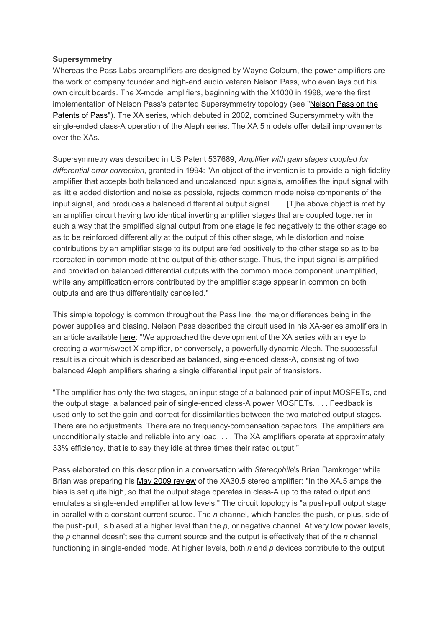## **Supersymmetry**

Whereas the Pass Labs preamplifiers are designed by Wayne Colburn, the power amplifiers are the work of company founder and high-end audio veteran Nelson Pass, who even lays out his own circuit boards. The X-model amplifiers, beginning with the X1000 in 1998, were the first implementation of Nelson Pass's patented Supersymmetry topology (see "Nelson Pass on the Patents of Pass"). The XA series, which debuted in 2002, combined Supersymmetry with the single-ended class-A operation of the Aleph series. The XA.5 models offer detail improvements over the XAs.

Supersymmetry was described in US Patent 537689, *Amplifier with gain stages coupled for differential error correction*, granted in 1994: "An object of the invention is to provide a high fidelity amplifier that accepts both balanced and unbalanced input signals, amplifies the input signal with as little added distortion and noise as possible, rejects common mode noise components of the input signal, and produces a balanced differential output signal. . . . [T]he above object is met by an amplifier circuit having two identical inverting amplifier stages that are coupled together in such a way that the amplified signal output from one stage is fed negatively to the other stage so as to be reinforced differentially at the output of this other stage, while distortion and noise contributions by an amplifier stage to its output are fed positively to the other stage so as to be recreated in common mode at the output of this other stage. Thus, the input signal is amplified and provided on balanced differential outputs with the common mode component unamplified, while any amplification errors contributed by the amplifier stage appear in common on both outputs and are thus differentially cancelled."

This simple topology is common throughout the Pass line, the major differences being in the power supplies and biasing. Nelson Pass described the circuit used in his XA-series amplifiers in an article available here: "We approached the development of the XA series with an eye to creating a warm/sweet X amplifier, or conversely, a powerfully dynamic Aleph. The successful result is a circuit which is described as balanced, single-ended class-A, consisting of two balanced Aleph amplifiers sharing a single differential input pair of transistors.

"The amplifier has only the two stages, an input stage of a balanced pair of input MOSFETs, and the output stage, a balanced pair of single-ended class-A power MOSFETs. . . . Feedback is used only to set the gain and correct for dissimilarities between the two matched output stages. There are no adjustments. There are no frequency-compensation capacitors. The amplifiers are unconditionally stable and reliable into any load. . . . The XA amplifiers operate at approximately 33% efficiency, that is to say they idle at three times their rated output."

Pass elaborated on this description in a conversation with *Stereophile*'s Brian Damkroger while Brian was preparing his May 2009 review of the XA30.5 stereo amplifier: "In the XA.5 amps the bias is set quite high, so that the output stage operates in class-A up to the rated output and emulates a single-ended amplifier at low levels." The circuit topology is "a push-pull output stage in parallel with a constant current source. The *n* channel, which handles the push, or plus, side of the push-pull, is biased at a higher level than the *p*, or negative channel. At very low power levels, the *p* channel doesn't see the current source and the output is effectively that of the *n* channel functioning in single-ended mode. At higher levels, both *n* and *p* devices contribute to the output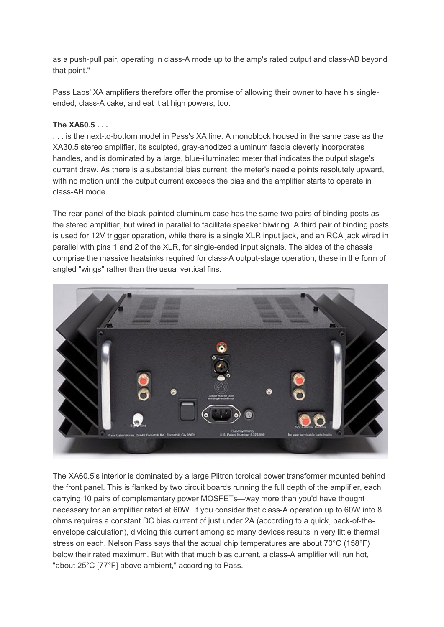as a push-pull pair, operating in class-A mode up to the amp's rated output and class-AB beyond that point."

Pass Labs' XA amplifiers therefore offer the promise of allowing their owner to have his singleended, class-A cake, and eat it at high powers, too.

# The XA60.5 . . .

. . . is the next-to-bottom model in Pass's XA line. A monoblock housed in the same case as the XA30.5 stereo amplifier, its sculpted, gray-anodized aluminum fascia cleverly incorporates handles, and is dominated by a large, blue-illuminated meter that indicates the output stage's current draw. As there is a substantial bias current, the meter's needle points resolutely upward, with no motion until the output current exceeds the bias and the amplifier starts to operate in class-AB mode.

The rear panel of the black-painted aluminum case has the same two pairs of binding posts as the stereo amplifier, but wired in parallel to facilitate speaker biwiring. A third pair of binding posts is used for 12V trigger operation, while there is a single XLR input jack, and an RCA jack wired in parallel with pins 1 and 2 of the XLR, for single-ended input signals. The sides of the chassis comprise the massive heatsinks required for class-A output-stage operation, these in the form of angled "wings" rather than the usual vertical fins.



The XA60.5's interior is dominated by a large Plitron toroidal power transformer mounted behind the front panel. This is flanked by two circuit boards running the full depth of the amplifier, each carrying 10 pairs of complementary power MOSFETs—way more than you'd have thought necessary for an amplifier rated at 60W. If you consider that class-A operation up to 60W into 8 ohms requires a constant DC bias current of just under 2A (according to a quick, back-of-theenvelope calculation), dividing this current among so many devices results in very little thermal stress on each. Nelson Pass says that the actual chip temperatures are about 70°C (158°F) below their rated maximum. But with that much bias current, a class-A amplifier will run hot, "about 25°C [77°F] above ambient," according to Pass.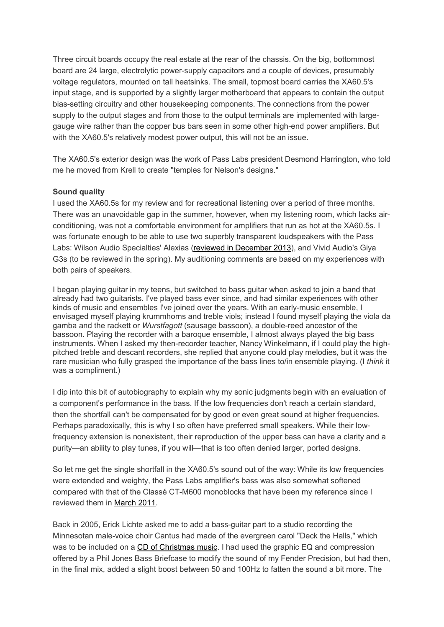Three circuit boards occupy the real estate at the rear of the chassis. On the big, bottommost board are 24 large, electrolytic power-supply capacitors and a couple of devices, presumably voltage regulators, mounted on tall heatsinks. The small, topmost board carries the XA60.5's input stage, and is supported by a slightly larger motherboard that appears to contain the output bias-setting circuitry and other housekeeping components. The connections from the power supply to the output stages and from those to the output terminals are implemented with largegauge wire rather than the copper bus bars seen in some other high-end power amplifiers. But with the XA60.5's relatively modest power output, this will not be an issue.

The XA60.5's exterior design was the work of Pass Labs president Desmond Harrington, who told me he moved from Krell to create "temples for Nelson's designs."

## Sound quality

I used the XA60.5s for my review and for recreational listening over a period of three months. There was an unavoidable gap in the summer, however, when my listening room, which lacks airconditioning, was not a comfortable environment for amplifiers that run as hot at the XA60.5s. I was fortunate enough to be able to use two superbly transparent loudspeakers with the Pass Labs: Wilson Audio Specialties' Alexias (reviewed in December 2013), and Vivid Audio's Giya G3s (to be reviewed in the spring). My auditioning comments are based on my experiences with both pairs of speakers.

I began playing guitar in my teens, but switched to bass guitar when asked to join a band that already had two guitarists. I've played bass ever since, and had similar experiences with other kinds of music and ensembles I've joined over the years. With an early-music ensemble, I envisaged myself playing krummhorns and treble viols; instead I found myself playing the viola da gamba and the rackett or *Wurstfagott* (sausage bassoon), a double-reed ancestor of the bassoon. Playing the recorder with a baroque ensemble, I almost always played the big bass instruments. When I asked my then-recorder teacher, Nancy Winkelmann, if I could play the highpitched treble and descant recorders, she replied that anyone could play melodies, but it was the rare musician who fully grasped the importance of the bass lines to/in ensemble playing. (I *think* it was a compliment.)

I dip into this bit of autobiography to explain why my sonic judgments begin with an evaluation of a component's performance in the bass. If the low frequencies don't reach a certain standard, then the shortfall can't be compensated for by good or even great sound at higher frequencies. Perhaps paradoxically, this is why I so often have preferred small speakers. While their lowfrequency extension is nonexistent, their reproduction of the upper bass can have a clarity and a purity—an ability to play tunes, if you will—that is too often denied larger, ported designs.

So let me get the single shortfall in the XA60.5's sound out of the way: While its low frequencies were extended and weighty, the Pass Labs amplifier's bass was also somewhat softened compared with that of the Classé CT-M600 monoblocks that have been my reference since I reviewed them in March 2011.

Back in 2005, Erick Lichte asked me to add a bass-guitar part to a studio recording the Minnesotan male-voice choir Cantus had made of the evergreen carol "Deck the Halls," which was to be included on a CD of Christmas music. I had used the graphic EQ and compression offered by a Phil Jones Bass Briefcase to modify the sound of my Fender Precision, but had then, in the final mix, added a slight boost between 50 and 100Hz to fatten the sound a bit more. The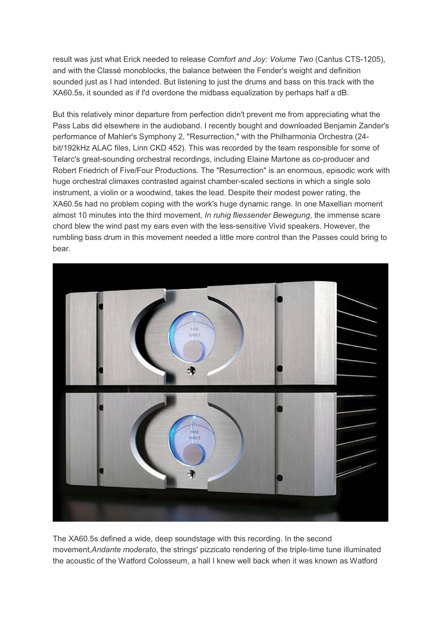result was just what Erick needed to release *Comfort and Joy: Volume Two* (Cantus CTS-1205), and with the Classé monoblocks, the balance between the Fender's weight and definition sounded just as I had intended. But listening to just the drums and bass on this track with the XA60.5s, it sounded as if I'd overdone the midbass equalization by perhaps half a dB.

But this relatively minor departure from perfection didn't prevent me from appreciating what the Pass Labs did elsewhere in the audioband. I recently bought and downloaded Benjamin Zander's performance of Mahler's Symphony 2, "Resurrection," with the Philharmonia Orchestra (24 bit/192kHz ALAC files, Linn CKD 452). This was recorded by the team responsible for some of Telarc's great-sounding orchestral recordings, including Elaine Martone as co-producer and Robert Friedrich of Five/Four Productions. The "Resurrection" is an enormous, episodic work with huge orchestral climaxes contrasted against chamber-scaled sections in which a single solo instrument, a violin or a woodwind, takes the lead. Despite their modest power rating, the XA60.5s had no problem coping with the work's huge dynamic range. In one Maxellian moment almost 10 minutes into the third movement, *In ruhig fliessender Bewegung*, the immense scare chord blew the wind past my ears even with the less-sensitive Vivid speakers. However, the rumbling bass drum in this movement needed a little more control than the Passes could bring to bear.



The XA60.5s defined a wide, deep soundstage with this recording. In the second movement,*Andante moderato*, the strings' pizzicato rendering of the triple-time tune illuminated the acoustic of the Watford Colosseum, a hall I knew well back when it was known as Watford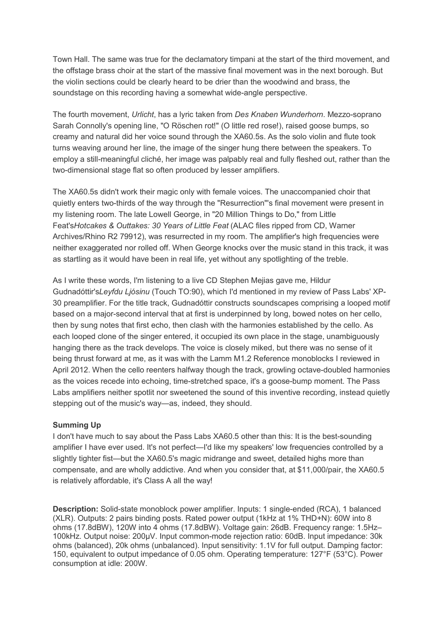Town Hall. The same was true for the declamatory timpani at the start of the third movement, and the offstage brass choir at the start of the massive final movement was in the next borough. But the violin sections could be clearly heard to be drier than the woodwind and brass, the soundstage on this recording having a somewhat wide-angle perspective.

The fourth movement, *Urlicht*, has a lyric taken from *Des Knaben Wunderhorn*. Mezzo-soprano Sarah Connolly's opening line, "O Röschen rot!" (O little red rose!), raised goose bumps, so creamy and natural did her voice sound through the XA60.5s. As the solo violin and flute took turns weaving around her line, the image of the singer hung there between the speakers. To employ a still-meaningful cliché, her image was palpably real and fully fleshed out, rather than the two-dimensional stage flat so often produced by lesser amplifiers.

The XA60.5s didn't work their magic only with female voices. The unaccompanied choir that quietly enters two-thirds of the way through the "Resurrection"'s final movement were present in my listening room. The late Lowell George, in "20 Million Things to Do," from Little Feat's*Hotcakes & Outtakes: 30 Years of Little Feat* (ALAC files ripped from CD, Warner Archives/Rhino R2 79912), was resurrected in my room. The amplifier's high frequencies were neither exaggerated nor rolled off. When George knocks over the music stand in this track, it was as startling as it would have been in real life, yet without any spotlighting of the treble.

As I write these words, I'm listening to a live CD Stephen Mejias gave me, Hildur Gudnadóttir's*Leyfdu Ljósinu* (Touch TO:90), which I'd mentioned in my review of Pass Labs' XP-30 preamplifier. For the title track, Gudnadóttir constructs soundscapes comprising a looped motif based on a major-second interval that at first is underpinned by long, bowed notes on her cello, then by sung notes that first echo, then clash with the harmonies established by the cello. As each looped clone of the singer entered, it occupied its own place in the stage, unambiguously hanging there as the track develops. The voice is closely miked, but there was no sense of it being thrust forward at me, as it was with the Lamm M1.2 Reference monoblocks I reviewed in April 2012. When the cello reenters halfway though the track, growling octave-doubled harmonies as the voices recede into echoing, time-stretched space, it's a goose-bump moment. The Pass Labs amplifiers neither spotlit nor sweetened the sound of this inventive recording, instead quietly stepping out of the music's way—as, indeed, they should.

#### Summing Up

I don't have much to say about the Pass Labs XA60.5 other than this: It is the best-sounding amplifier I have ever used. It's not perfect—I'd like my speakers' low frequencies controlled by a slightly tighter fist—but the XA60.5's magic midrange and sweet, detailed highs more than compensate, and are wholly addictive. And when you consider that, at \$11,000/pair, the XA60.5 is relatively affordable, it's Class A all the way!

Description: Solid-state monoblock power amplifier. Inputs: 1 single-ended (RCA), 1 balanced (XLR). Outputs: 2 pairs binding posts. Rated power output (1kHz at 1% THD+N): 60W into 8 ohms (17.8dBW), 120W into 4 ohms (17.8dBW). Voltage gain: 26dB. Frequency range: 1.5Hz– 100kHz. Output noise: 200µV. Input common-mode rejection ratio: 60dB. Input impedance: 30k ohms (balanced), 20k ohms (unbalanced). Input sensitivity: 1.1V for full output. Damping factor: 150, equivalent to output impedance of 0.05 ohm. Operating temperature: 127°F (53°C). Power consumption at idle: 200W.